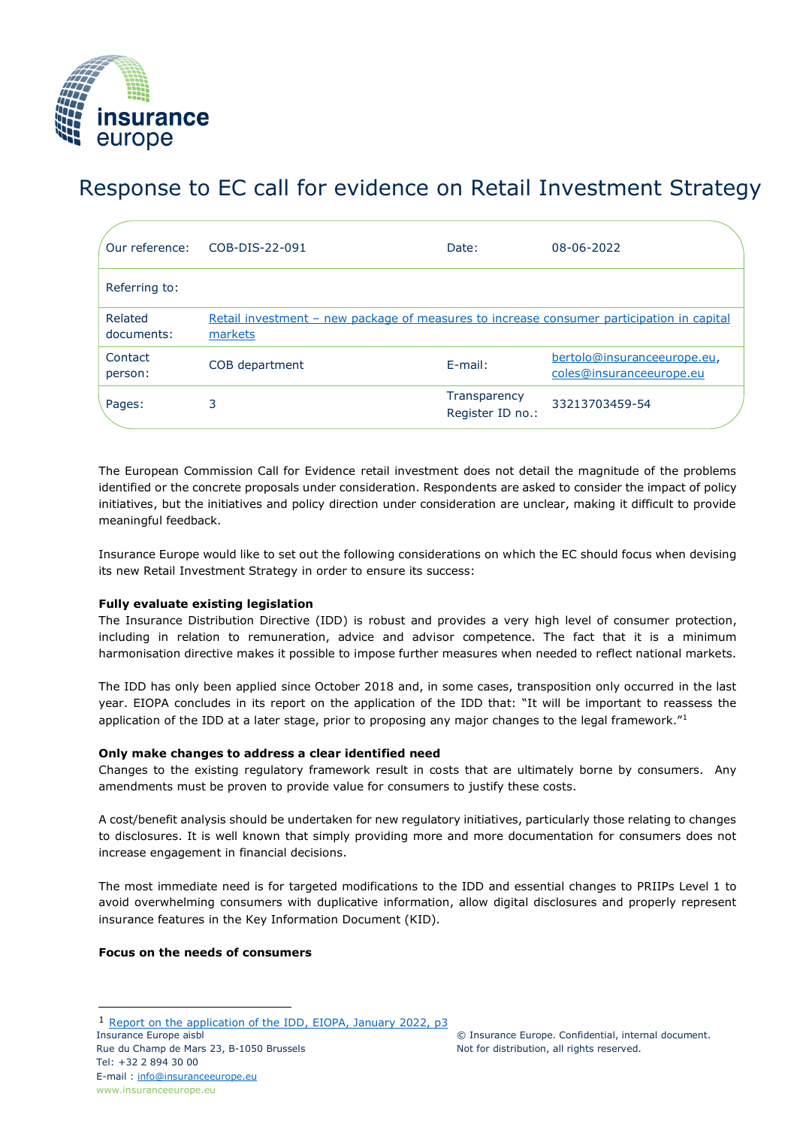

# Response to EC call for evidence on Retail Investment Strategy

| Our reference:        | COB-DIS-22-091                                                                                       | Date:                            | 08-06-2022                                              |
|-----------------------|------------------------------------------------------------------------------------------------------|----------------------------------|---------------------------------------------------------|
| Referring to:         |                                                                                                      |                                  |                                                         |
| Related<br>documents: | Retail investment - new package of measures to increase consumer participation in capital<br>markets |                                  |                                                         |
| Contact<br>person:    | COB department                                                                                       | $E$ -mail:                       | bertolo@insuranceeurope.eu,<br>coles@insuranceeurope.eu |
| Pages:                | 3                                                                                                    | Transparency<br>Register ID no.: | 33213703459-54                                          |

The European Commission Call for Evidence retail investment does not detail the magnitude of the problems identified or the concrete proposals under consideration. Respondents are asked to consider the impact of policy initiatives, but the initiatives and policy direction under consideration are unclear, making it difficult to provide meaningful feedback.

Insurance Europe would like to set out the following considerations on which the EC should focus when devising its new Retail Investment Strategy in order to ensure its success:

### **Fully evaluate existing legislation**

The Insurance Distribution Directive (IDD) is robust and provides a very high level of consumer protection, including in relation to remuneration, advice and advisor competence. The fact that it is a minimum harmonisation directive makes it possible to impose further measures when needed to reflect national markets.

The IDD has only been applied since October 2018 and, in some cases, transposition only occurred in the last year. EIOPA concludes in its report on the application of the IDD that: "It will be important to reassess the application of the IDD at a later stage, prior to proposing any major changes to the legal framework."<sup>1</sup>

### **Only make changes to address a clear identified need**

Changes to the existing regulatory framework result in costs that are ultimately borne by consumers. Any amendments must be proven to provide value for consumers to justify these costs.

A cost/benefit analysis should be undertaken for new regulatory initiatives, particularly those relating to changes to disclosures. It is well known that simply providing more and more documentation for consumers does not increase engagement in financial decisions.

The most immediate need is for targeted modifications to the IDD and essential changes to PRIIPs Level 1 to avoid overwhelming consumers with duplicative information, allow digital disclosures and properly represent insurance features in the Key Information Document (KID).

### **Focus on the needs of consumers**

<sup>1</sup> [Report on the application of the IDD, EIOPA, January 2022, p3](https://www.eiopa.europa.eu/document-library/report/report-application-of-insurance-distribution-directive)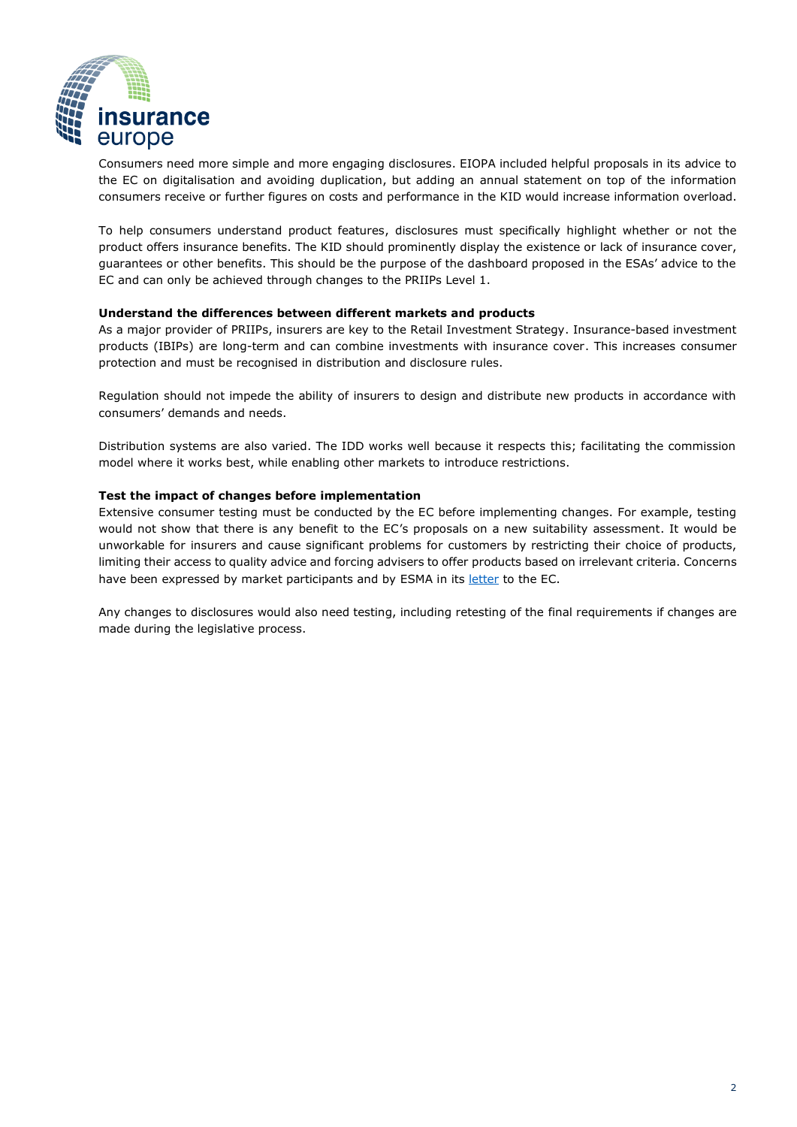

Consumers need more simple and more engaging disclosures. EIOPA included helpful proposals in its advice to the EC on digitalisation and avoiding duplication, but adding an annual statement on top of the information consumers receive or further figures on costs and performance in the KID would increase information overload.

To help consumers understand product features, disclosures must specifically highlight whether or not the product offers insurance benefits. The KID should prominently display the existence or lack of insurance cover, guarantees or other benefits. This should be the purpose of the dashboard proposed in the ESAs' advice to the EC and can only be achieved through changes to the PRIIPs Level 1.

### **Understand the differences between different markets and products**

As a major provider of PRIIPs, insurers are key to the Retail Investment Strategy. Insurance-based investment products (IBIPs) are long-term and can combine investments with insurance cover. This increases consumer protection and must be recognised in distribution and disclosure rules.

Regulation should not impede the ability of insurers to design and distribute new products in accordance with consumers' demands and needs.

Distribution systems are also varied. The IDD works well because it respects this; facilitating the commission model where it works best, while enabling other markets to introduce restrictions.

#### **Test the impact of changes before implementation**

Extensive consumer testing must be conducted by the EC before implementing changes. For example, testing would not show that there is any benefit to the EC's proposals on a new suitability assessment. It would be unworkable for insurers and cause significant problems for customers by restricting their choice of products, limiting their access to quality advice and forcing advisers to offer products based on irrelevant criteria. Concerns have been expressed by market participants and by ESMA in its [letter](https://eur03.safelinks.protection.outlook.com/?url=https%3A%2F%2Fwww.esma.europa.eu%2Ffile%2F123683%2Fdownload%3Ftoken%3DCuDyebnF&data=05%7C01%7C%7C3d7a8f8696454545312508da2206f8d4%7C2f60d7a56a7b4f90a0d47e6a0ea5ae9e%7C0%7C0%7C637859710586368484%7CUnknown%7CTWFpbGZsb3d8eyJWIjoiMC4wLjAwMDAiLCJQIjoiV2luMzIiLCJBTiI6Ik1haWwiLCJXVCI6Mn0%3D%7C3000%7C%7C%7C&sdata=sUDCY8r%2Fx40NyA%2Fu7cbzcJLipj0cWk29toREmQITyHI%3D&reserved=0) to the EC.

Any changes to disclosures would also need testing, including retesting of the final requirements if changes are made during the legislative process.